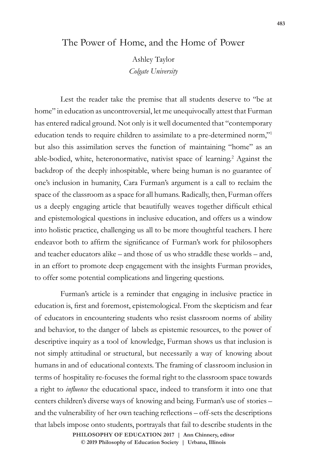## The Power of Home, and the Home of Power

Ashley Taylor *Colgate University*

Lest the reader take the premise that all students deserve to "be at home" in education as uncontroversial, let me unequivocally attest that Furman has entered radical ground. Not only is it well documented that "contemporary education tends to require children to assimilate to a pre-determined norm,"1 but also this assimilation serves the function of maintaining "home" as an able-bodied, white, heteronormative, nativist space of learning.<sup>2</sup> Against the backdrop of the deeply inhospitable, where being human is no guarantee of one's inclusion in humanity, Cara Furman's argument is a call to reclaim the space of the classroom as a space for all humans. Radically, then, Furman offers us a deeply engaging article that beautifully weaves together difficult ethical and epistemological questions in inclusive education, and offers us a window into holistic practice, challenging us all to be more thoughtful teachers. I here endeavor both to affirm the significance of Furman's work for philosophers and teacher educators alike – and those of us who straddle these worlds – and, in an effort to promote deep engagement with the insights Furman provides, to offer some potential complications and lingering questions.

Furman's article is a reminder that engaging in inclusive practice in education is, first and foremost, epistemological. From the skepticism and fear of educators in encountering students who resist classroom norms of ability and behavior, to the danger of labels as epistemic resources, to the power of descriptive inquiry as a tool of knowledge, Furman shows us that inclusion is not simply attitudinal or structural, but necessarily a way of knowing about humans in and of educational contexts. The framing of classroom inclusion in terms of hospitality re-focuses the formal right to the classroom space towards a right to *influence* the educational space, indeed to transform it into one that centers children's diverse ways of knowing and being. Furman's use of stories – and the vulnerability of her own teaching reflections – off-sets the descriptions that labels impose onto students, portrayals that fail to describe students in the

> **doi: 10.47925/73.483 PHILOSOPHY OF EDUCATION 2017 | Ann Chinnery, editor © 2019 Philosophy of Education Society | Urbana, Illinois**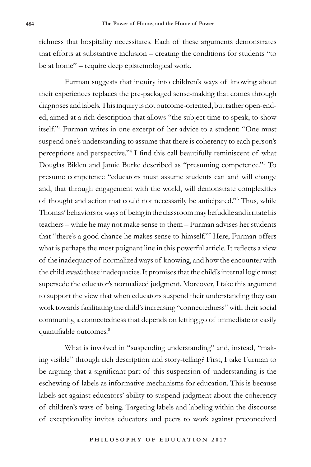richness that hospitality necessitates. Each of these arguments demonstrates that efforts at substantive inclusion – creating the conditions for students "to be at home" – require deep epistemological work.

Furman suggests that inquiry into children's ways of knowing about their experiences replaces the pre-packaged sense-making that comes through diagnoses and labels. This inquiry is not outcome-oriented, but rather open-ended, aimed at a rich description that allows "the subject time to speak, to show itself."3 Furman writes in one excerpt of her advice to a student: "One must suspend one's understanding to assume that there is coherency to each person's perceptions and perspective."4 I find this call beautifully reminiscent of what Douglas Biklen and Jamie Burke described as "presuming competence."5 To presume competence "educators must assume students can and will change and, that through engagement with the world, will demonstrate complexities of thought and action that could not necessarily be anticipated."6 Thus, while Thomas' behaviors or ways of being in the classroom may befuddle and irritate his teachers – while he may not make sense to them – Furman advises her students that "there's a good chance he makes sense to himself."7 Here, Furman offers what is perhaps the most poignant line in this powerful article. It reflects a view of the inadequacy of normalized ways of knowing, and how the encounter with the child *reveals* these inadequacies. It promises that the child's internal logic must supersede the educator's normalized judgment. Moreover, I take this argument to support the view that when educators suspend their understanding they can work towards facilitating the child's increasing "connectedness" with their social community, a connectedness that depends on letting go of immediate or easily quantifiable outcomes.<sup>8</sup>

What is involved in "suspending understanding" and, instead, "making visible" through rich description and story-telling? First, I take Furman to be arguing that a significant part of this suspension of understanding is the eschewing of labels as informative mechanisms for education. This is because labels act against educators' ability to suspend judgment about the coherency of children's ways of being. Targeting labels and labeling within the discourse of exceptionality invites educators and peers to work against preconceived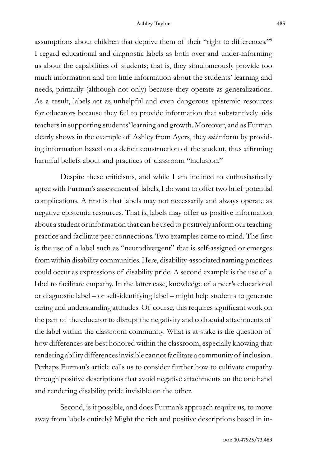assumptions about children that deprive them of their "right to differences."9 I regard educational and diagnostic labels as both over and under-informing us about the capabilities of students; that is, they simultaneously provide too much information and too little information about the students' learning and needs, primarily (although not only) because they operate as generalizations. As a result, labels act as unhelpful and even dangerous epistemic resources for educators because they fail to provide information that substantively aids teachers in supporting students' learning and growth. Moreover, and as Furman clearly shows in the example of Ashley from Ayers, they *mis*inform by providing information based on a deficit construction of the student, thus affirming harmful beliefs about and practices of classroom "inclusion."

Despite these criticisms, and while I am inclined to enthusiastically agree with Furman's assessment of labels, I do want to offer two brief potential complications. A first is that labels may not necessarily and always operate as negative epistemic resources. That is, labels may offer us positive information about a student or information that can be used to positively inform our teaching practice and facilitate peer connections. Two examples come to mind. The first is the use of a label such as "neurodivergent" that is self-assigned or emerges from within disability communities. Here, disability-associated naming practices could occur as expressions of disability pride. A second example is the use of a label to facilitate empathy. In the latter case, knowledge of a peer's educational or diagnostic label – or self-identifying label – might help students to generate caring and understanding attitudes. Of course, this requires significant work on the part of the educator to disrupt the negativity and colloquial attachments of the label within the classroom community. What is at stake is the question of how differences are best honored within the classroom, especially knowing that rendering ability differences invisible cannot facilitate a community of inclusion. Perhaps Furman's article calls us to consider further how to cultivate empathy through positive descriptions that avoid negative attachments on the one hand and rendering disability pride invisible on the other.

Second, is it possible, and does Furman's approach require us, to move away from labels entirely? Might the rich and positive descriptions based in in-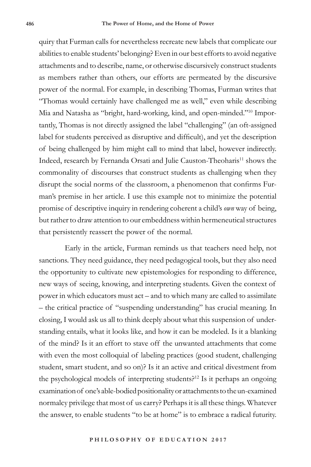quiry that Furman calls for nevertheless recreate new labels that complicate our abilities to enable students' belonging? Even in our best efforts to avoid negative attachments and to describe, name, or otherwise discursively construct students as members rather than others, our efforts are permeated by the discursive power of the normal. For example, in describing Thomas, Furman writes that "Thomas would certainly have challenged me as well," even while describing Mia and Natasha as "bright, hard-working, kind, and open-minded."10 Importantly, Thomas is not directly assigned the label "challenging" (an oft-assigned label for students perceived as disruptive and difficult), and yet the description of being challenged by him might call to mind that label, however indirectly. Indeed, research by Fernanda Orsati and Julie Causton-Theoharis<sup>11</sup> shows the commonality of discourses that construct students as challenging when they disrupt the social norms of the classroom, a phenomenon that confirms Furman's premise in her article. I use this example not to minimize the potential promise of descriptive inquiry in rendering coherent a child's *own* way of being, but rather to draw attention to our embeddness within hermeneutical structures that persistently reassert the power of the normal.

Early in the article, Furman reminds us that teachers need help, not sanctions. They need guidance, they need pedagogical tools, but they also need the opportunity to cultivate new epistemologies for responding to difference, new ways of seeing, knowing, and interpreting students. Given the context of power in which educators must act – and to which many are called to assimilate – the critical practice of "suspending understanding" has crucial meaning. In closing, I would ask us all to think deeply about what this suspension of understanding entails, what it looks like, and how it can be modeled. Is it a blanking of the mind? Is it an effort to stave off the unwanted attachments that come with even the most colloquial of labeling practices (good student, challenging student, smart student, and so on)? Is it an active and critical divestment from the psychological models of interpreting students?12 Is it perhaps an ongoing examination of one's able-bodied positionality or attachments to the un-examined normalcy privilege that most of us carry? Perhaps it is all these things. Whatever the answer, to enable students "to be at home" is to embrace a radical futurity.